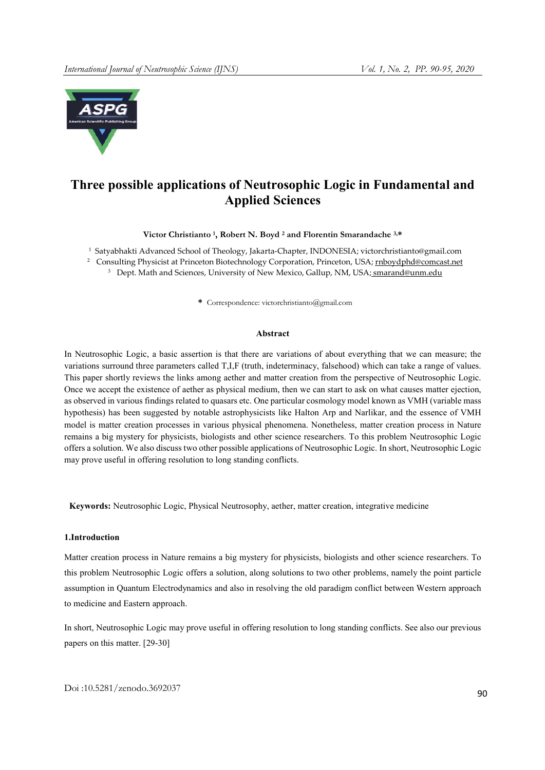

# Three possible applications of Neutrosophic Logic in Fundamental and Applied Sciences

Victor Christianto<sup>1</sup>, Robert N. Boyd<sup>2</sup> and Florentin Smarandache<sup>3,\*</sup>

1 Satyabhakti Advanced School of Theology, Jakarta-Chapter, INDONESIA; victorchristianto@gmail.com <sup>2</sup> Consulting Physicist at Princeton Biotechnology Corporation, Princeton, USA; rnboydphd@comcast.net

<sup>3</sup> Dept. Math and Sciences, University of New Mexico, Gallup, NM, USA; smarand@unm.edu

\* Correspondence: victorchristianto@gmail.com

#### Abstract

In Neutrosophic Logic, a basic assertion is that there are variations of about everything that we can measure; the variations surround three parameters called T,I,F (truth, indeterminacy, falsehood) which can take a range of values. This paper shortly reviews the links among aether and matter creation from the perspective of Neutrosophic Logic. Once we accept the existence of aether as physical medium, then we can start to ask on what causes matter ejection, as observed in various findings related to quasars etc. One particular cosmology model known as VMH (variable mass hypothesis) has been suggested by notable astrophysicists like Halton Arp and Narlikar, and the essence of VMH model is matter creation processes in various physical phenomena. Nonetheless, matter creation process in Nature remains a big mystery for physicists, biologists and other science researchers. To this problem Neutrosophic Logic offers a solution. We also discuss two other possible applications of Neutrosophic Logic. In short, Neutrosophic Logic may prove useful in offering resolution to long standing conflicts.

Keywords: Neutrosophic Logic, Physical Neutrosophy, aether, matter creation, integrative medicine

#### 1.Introduction

Matter creation process in Nature remains a big mystery for physicists, biologists and other science researchers. To this problem Neutrosophic Logic offers a solution, along solutions to two other problems, namely the point particle assumption in Quantum Electrodynamics and also in resolving the old paradigm conflict between Western approach to medicine and Eastern approach.

In short, Neutrosophic Logic may prove useful in offering resolution to long standing conflicts. See also our previous papers on this matter. [29-30]

Doi :10.5281/zenodo.3692037 <sup>90</sup>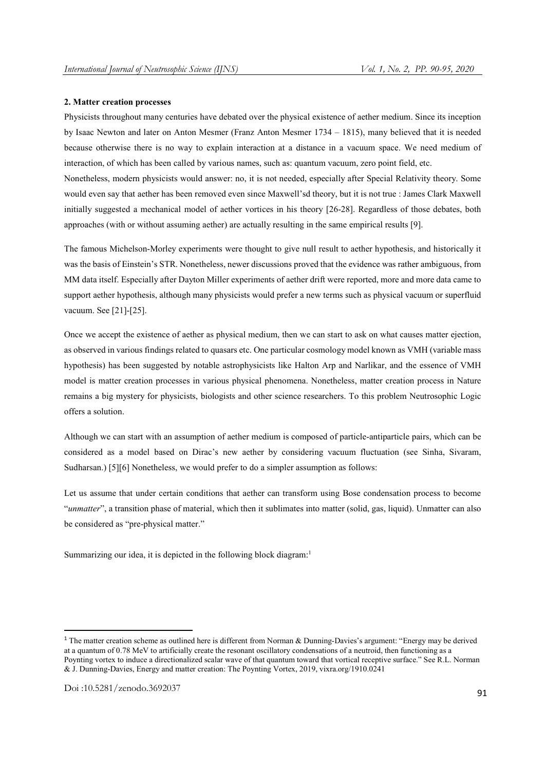#### 2. Matter creation processes

Physicists throughout many centuries have debated over the physical existence of aether medium. Since its inception by Isaac Newton and later on Anton Mesmer (Franz Anton Mesmer 1734 – 1815), many believed that it is needed because otherwise there is no way to explain interaction at a distance in a vacuum space. We need medium of interaction, of which has been called by various names, such as: quantum vacuum, zero point field, etc.

Nonetheless, modern physicists would answer: no, it is not needed, especially after Special Relativity theory. Some would even say that aether has been removed even since Maxwell'sd theory, but it is not true : James Clark Maxwell initially suggested a mechanical model of aether vortices in his theory [26-28]. Regardless of those debates, both approaches (with or without assuming aether) are actually resulting in the same empirical results [9].

The famous Michelson-Morley experiments were thought to give null result to aether hypothesis, and historically it was the basis of Einstein's STR. Nonetheless, newer discussions proved that the evidence was rather ambiguous, from MM data itself. Especially after Dayton Miller experiments of aether drift were reported, more and more data came to support aether hypothesis, although many physicists would prefer a new terms such as physical vacuum or superfluid vacuum. See [21]-[25].

Once we accept the existence of aether as physical medium, then we can start to ask on what causes matter ejection, as observed in various findings related to quasars etc. One particular cosmology model known as VMH (variable mass hypothesis) has been suggested by notable astrophysicists like Halton Arp and Narlikar, and the essence of VMH model is matter creation processes in various physical phenomena. Nonetheless, matter creation process in Nature remains a big mystery for physicists, biologists and other science researchers. To this problem Neutrosophic Logic offers a solution.

Although we can start with an assumption of aether medium is composed of particle-antiparticle pairs, which can be considered as a model based on Dirac's new aether by considering vacuum fluctuation (see Sinha, Sivaram, Sudharsan.) [5][6] Nonetheless, we would prefer to do a simpler assumption as follows:

Let us assume that under certain conditions that aether can transform using Bose condensation process to become "*unmatter*", a transition phase of material, which then it sublimates into matter (solid, gas, liquid). Unmatter can also be considered as "pre-physical matter."

Summarizing our idea, it is depicted in the following block diagram:<sup>1</sup>

<sup>&</sup>lt;sup>1</sup> The matter creation scheme as outlined here is different from Norman & Dunning-Davies's argument: "Energy may be derived at a quantum of 0.78 MeV to artificially create the resonant oscillatory condensations of a neutroid, then functioning as a Poynting vortex to induce a directionalized scalar wave of that quantum toward that vortical receptive surface." See R.L. Norman & J. Dunning-Davies, Energy and matter creation: The Poynting Vortex, 2019, vixra.org/1910.0241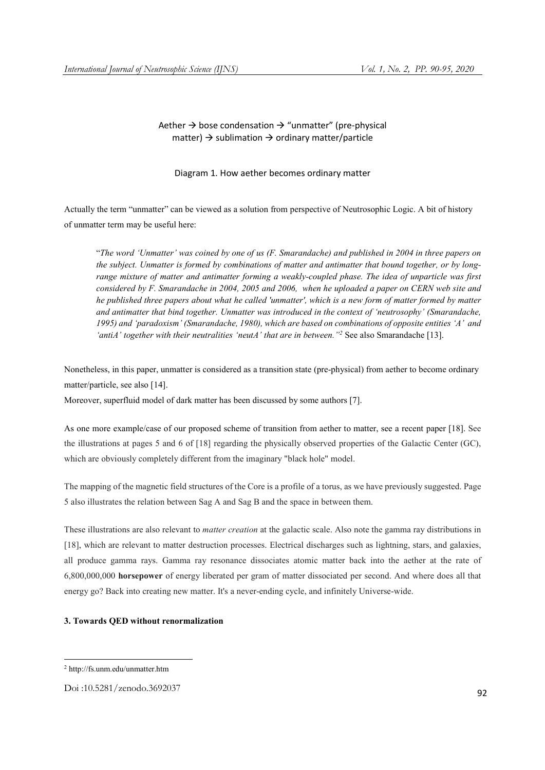## Aether  $\rightarrow$  bose condensation  $\rightarrow$  "unmatter" (pre-physical matter)  $\rightarrow$  sublimation  $\rightarrow$  ordinary matter/particle

Diagram 1. How aether becomes ordinary matter

Actually the term "unmatter" can be viewed as a solution from perspective of Neutrosophic Logic. A bit of history of unmatter term may be useful here:

"*The word 'Unmatter' was coined by one of us (F. Smarandache) and published in 2004 in three papers on the subject. Unmatter is formed by combinations of matter and antimatter that bound together, or by longrange mixture of matter and antimatter forming a weakly-coupled phase. The idea of unparticle was first considered by F. Smarandache in 2004, 2005 and 2006, when he uploaded a paper on CERN web site and he published three papers about what he called 'unmatter', which is a new form of matter formed by matter and antimatter that bind together. Unmatter was introduced in the context of 'neutrosophy' (Smarandache, 1995) and 'paradoxism' (Smarandache, 1980), which are based on combinations of opposite entities 'A' and*  'antiA' together with their neutralities 'neutA' that are in between."<sup>2</sup> See also Smarandache [13].

Nonetheless, in this paper, unmatter is considered as a transition state (pre-physical) from aether to become ordinary matter/particle, see also [14].

Moreover, superfluid model of dark matter has been discussed by some authors [7].

As one more example/case of our proposed scheme of transition from aether to matter, see a recent paper [18]. See the illustrations at pages 5 and 6 of [18] regarding the physically observed properties of the Galactic Center (GC), which are obviously completely different from the imaginary "black hole" model.

The mapping of the magnetic field structures of the Core is a profile of a torus, as we have previously suggested. Page 5 also illustrates the relation between Sag A and Sag B and the space in between them.

These illustrations are also relevant to *matter creation* at the galactic scale. Also note the gamma ray distributions in [18], which are relevant to matter destruction processes. Electrical discharges such as lightning, stars, and galaxies, all produce gamma rays. Gamma ray resonance dissociates atomic matter back into the aether at the rate of 6,800,000,000 horsepower of energy liberated per gram of matter dissociated per second. And where does all that energy go? Back into creating new matter. It's a never-ending cycle, and infinitely Universe-wide.

#### 3. Towards QED without renormalization

**.** 

<sup>2</sup> http://fs.unm.edu/unmatter.htm

Doi :10.5281/zenodo.3692037 <sup>92</sup>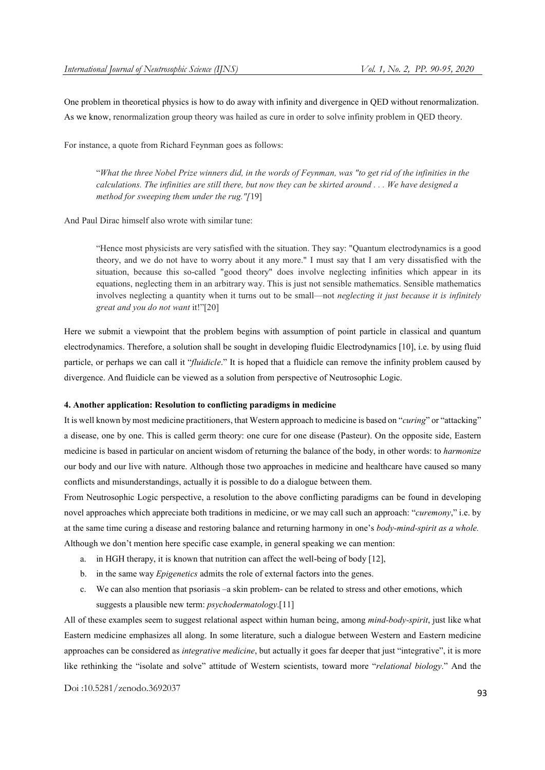One problem in theoretical physics is how to do away with infinity and divergence in QED without renormalization. As we know, renormalization group theory was hailed as cure in order to solve infinity problem in QED theory.

For instance, a quote from Richard Feynman goes as follows:

"*What the three Nobel Prize winners did, in the words of Feynman, was "to get rid of the infinities in the calculations. The infinities are still there, but now they can be skirted around . . . We have designed a method for sweeping them under the rug."[*19]

And Paul Dirac himself also wrote with similar tune:

"Hence most physicists are very satisfied with the situation. They say: "Quantum electrodynamics is a good theory, and we do not have to worry about it any more." I must say that I am very dissatisfied with the situation, because this so-called "good theory" does involve neglecting infinities which appear in its equations, neglecting them in an arbitrary way. This is just not sensible mathematics. Sensible mathematics involves neglecting a quantity when it turns out to be small—not *neglecting it just because it is infinitely great and you do not want* it!"[20]

Here we submit a viewpoint that the problem begins with assumption of point particle in classical and quantum electrodynamics. Therefore, a solution shall be sought in developing fluidic Electrodynamics [10], i.e. by using fluid particle, or perhaps we can call it "*fluidicle*." It is hoped that a fluidicle can remove the infinity problem caused by divergence. And fluidicle can be viewed as a solution from perspective of Neutrosophic Logic.

#### 4. Another application: Resolution to conflicting paradigms in medicine

It is well known by most medicine practitioners, that Western approach to medicine is based on "*curing*" or "attacking" a disease, one by one. This is called germ theory: one cure for one disease (Pasteur). On the opposite side, Eastern medicine is based in particular on ancient wisdom of returning the balance of the body, in other words: to *harmonize* our body and our live with nature. Although those two approaches in medicine and healthcare have caused so many conflicts and misunderstandings, actually it is possible to do a dialogue between them.

From Neutrosophic Logic perspective, a resolution to the above conflicting paradigms can be found in developing novel approaches which appreciate both traditions in medicine, or we may call such an approach: "*curemony*," i.e. by at the same time curing a disease and restoring balance and returning harmony in one's *body-mind-spirit as a whole.* Although we don't mention here specific case example, in general speaking we can mention:

- a. in HGH therapy, it is known that nutrition can affect the well-being of body [12],
- b. in the same way *Epigenetics* admits the role of external factors into the genes.
- c. We can also mention that psoriasis –a skin problem- can be related to stress and other emotions, which suggests a plausible new term: *psychodermatology*.[11]

All of these examples seem to suggest relational aspect within human being, among *mind-body-spirit*, just like what Eastern medicine emphasizes all along. In some literature, such a dialogue between Western and Eastern medicine approaches can be considered as *integrative medicine*, but actually it goes far deeper that just "integrative", it is more like rethinking the "isolate and solve" attitude of Western scientists, toward more "*relational biology*." And the

Doi :10.5281/zenodo.3692037 <sup>93</sup>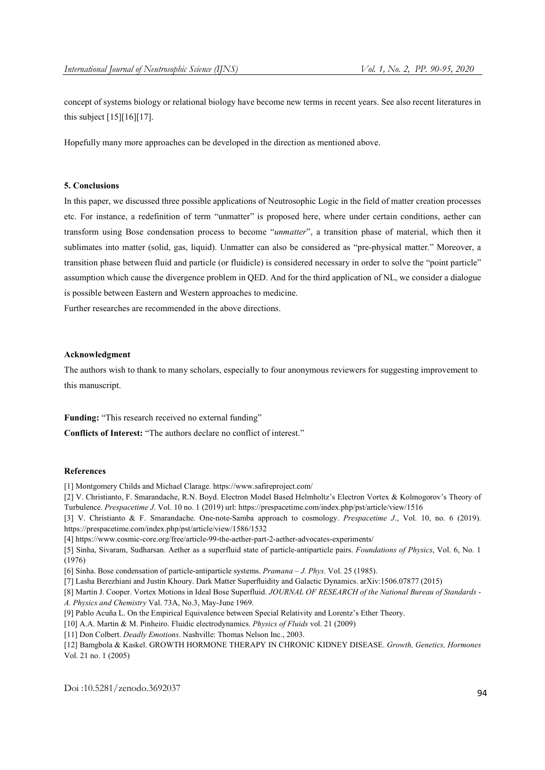concept of systems biology or relational biology have become new terms in recent years. See also recent literatures in this subject [15][16][17].

Hopefully many more approaches can be developed in the direction as mentioned above.

### 5. Conclusions

In this paper, we discussed three possible applications of Neutrosophic Logic in the field of matter creation processes etc. For instance, a redefinition of term "unmatter" is proposed here, where under certain conditions, aether can transform using Bose condensation process to become "*unmatter*", a transition phase of material, which then it sublimates into matter (solid, gas, liquid). Unmatter can also be considered as "pre-physical matter." Moreover, a transition phase between fluid and particle (or fluidicle) is considered necessary in order to solve the "point particle" assumption which cause the divergence problem in QED. And for the third application of NL, we consider a dialogue is possible between Eastern and Western approaches to medicine.

Further researches are recommended in the above directions.

### Acknowledgment

The authors wish to thank to many scholars, especially to four anonymous reviewers for suggesting improvement to this manuscript.

Funding: "This research received no external funding"

Conflicts of Interest: "The authors declare no conflict of interest."

#### References

[1] Montgomery Childs and Michael Clarage. https://www.safireproject.com/

[2] V. Christianto, F. Smarandache, R.N. Boyd. Electron Model Based Helmholtz's Electron Vortex & Kolmogorov's Theory of Turbulence. *Prespacetime J*. Vol. 10 no. 1 (2019) url: https://prespacetime.com/index.php/pst/article/view/1516

[3] V. Christianto & F. Smarandache. One-note-Samba approach to cosmology. *Prespacetime J*., Vol. 10, no. 6 (2019). https://prespacetime.com/index.php/pst/article/view/1586/1532

[4] https://www.cosmic-core.org/free/article-99-the-aether-part-2-aether-advocates-experiments/

[5] Sinha, Sivaram, Sudharsan. Aether as a superfluid state of particle-antiparticle pairs. *Foundations of Physics*, Vol. 6, No. 1 (1976)

[6] Sinha. Bose condensation of particle-antiparticle systems. *Pramana – J. Phys*. Vol. 25 (1985).

[7] Lasha Berezhiani and Justin Khoury. Dark Matter Superfluidity and Galactic Dynamics. arXiv:1506.07877 (2015)

[8] Martin J. Cooper. Vortex Motions in Ideal Bose Superfluid. *JOURNAL OF RESEARCH of the National Bureau of Standards - A. Physics and Chemistry* Val. 73A, No.3, May-June 1969.

[9] Pablo Acuña L. On the Empirical Equivalence between Special Relativity and Lorentz's Ether Theory.

[10] A.A. Martin & M. Pinheiro. Fluidic electrodynamics. *Physics of Fluids* vol. 21 (2009)

[11] Don Colbert. *Deadly Emotions*. Nashville: Thomas Nelson Inc., 2003.

[12] Bamgbola & Kaskel. GROWTH HORMONE THERAPY IN CHRONIC KIDNEY DISEASE. *Growth, Genetics, Hormones* Vol. 21 no. 1 (2005)

Doi :10.5281/zenodo.3692037 <sup>94</sup>